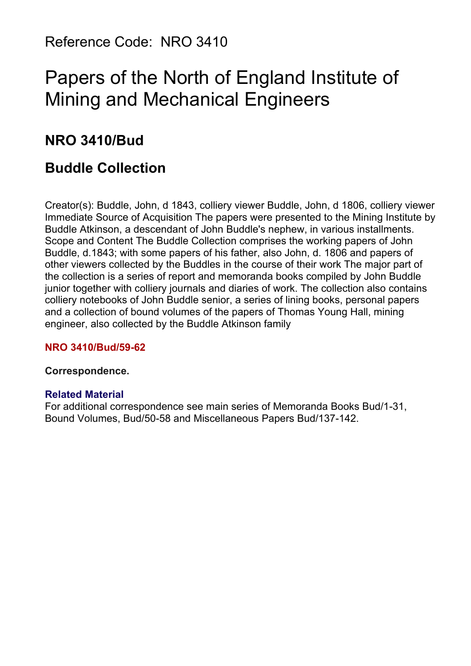Reference Code: NRO 3410

# Papers of the North of England Institute of Mining and Mechanical Engineers

## **NRO 3410/Bud**

## **Buddle Collection**

Creator(s): Buddle, John, d 1843, colliery viewer Buddle, John, d 1806, colliery viewer Immediate Source of Acquisition The papers were presented to the Mining Institute by Buddle Atkinson, a descendant of John Buddle's nephew, in various installments. Scope and Content The Buddle Collection comprises the working papers of John Buddle, d.1843; with some papers of his father, also John, d. 1806 and papers of other viewers collected by the Buddles in the course of their work The major part of the collection is a series of report and memoranda books compiled by John Buddle junior together with colliery journals and diaries of work. The collection also contains colliery notebooks of John Buddle senior, a series of lining books, personal papers and a collection of bound volumes of the papers of Thomas Young Hall, mining engineer, also collected by the Buddle Atkinson family

#### **NRO 3410/Bud/59-62**

#### **Correspondence.**

#### **Related Material**

For additional correspondence see main series of Memoranda Books Bud/1-31, Bound Volumes, Bud/50-58 and Miscellaneous Papers Bud/137-142.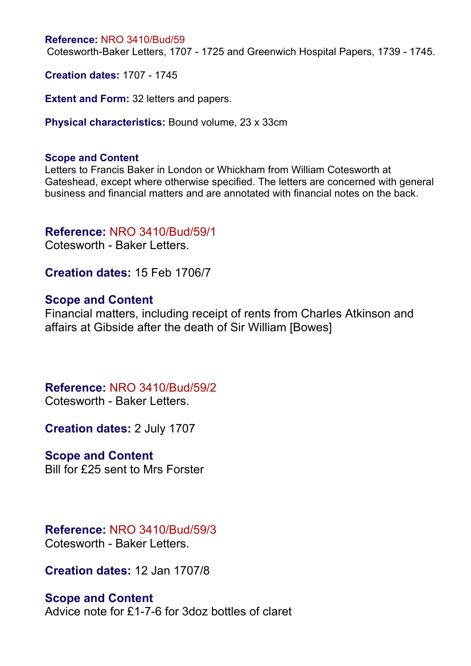Cotesworth-Baker Letters, 1707 - 1725 and Greenwich Hospital Papers, 1739 - 1745.

**Creation dates:** 1707 - 1745

**Extent and Form:** 32 letters and papers.

**Physical characteristics:** Bound volume, 23 x 33cm

#### **Scope and Content**

Letters to Francis Baker in London or Whickham from William Cotesworth at Gateshead, except where otherwise specified. The letters are concerned with general business and financial matters and are annotated with financial notes on the back.

#### **Reference:** NRO 3410/Bud/59/1

Cotesworth - Baker Letters.

**Creation dates:** 15 Feb 1706/7

#### **Scope and Content**

Financial matters, including receipt of rents from Charles Atkinson and affairs at Gibside after the death of Sir William [Bowes]

### **Reference:** NRO 3410/Bud/59/2

Cotesworth - Baker Letters.

**Creation dates:** 2 July 1707

#### **Scope and Content**

Bill for £25 sent to Mrs Forster

#### **Reference:** NRO 3410/Bud/59/3 Cotesworth - Baker Letters.

**Creation dates:** 12 Jan 1707/8

#### **Scope and Content**

Advice note for £1-7-6 for 3doz bottles of claret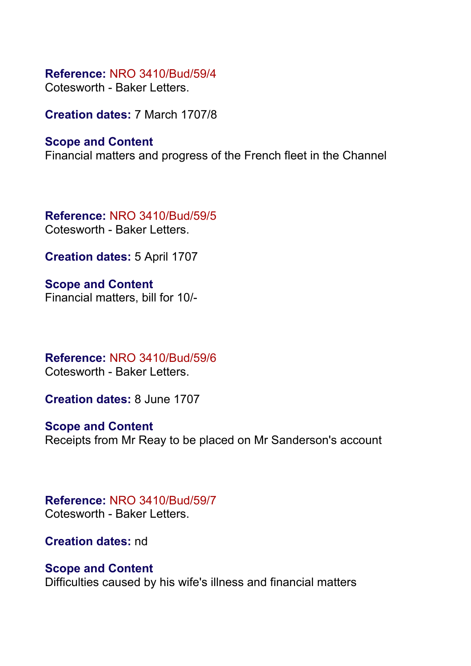Cotesworth - Baker Letters.

**Creation dates:** 7 March 1707/8

### **Scope and Content**

Financial matters and progress of the French fleet in the Channel

**Reference:** NRO 3410/Bud/59/5 Cotesworth - Baker Letters.

**Creation dates:** 5 April 1707

**Scope and Content** Financial matters, bill for 10/-

**Reference:** NRO 3410/Bud/59/6 Cotesworth - Baker Letters.

**Creation dates:** 8 June 1707

**Scope and Content** Receipts from Mr Reay to be placed on Mr Sanderson's account

### **Reference:** NRO 3410/Bud/59/7 Cotesworth - Baker Letters.

**Creation dates:** nd

### **Scope and Content**

Difficulties caused by his wife's illness and financial matters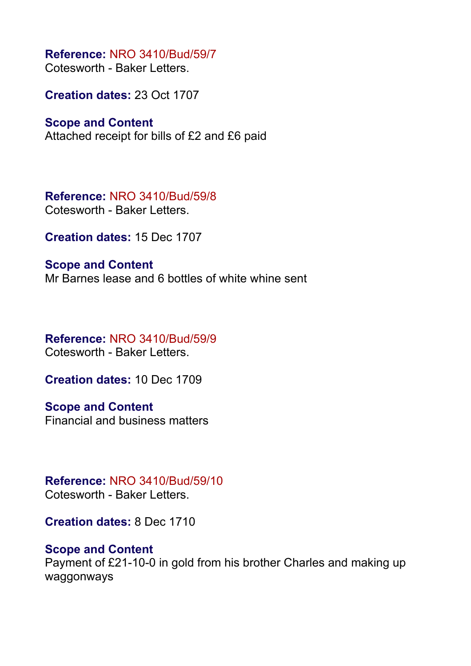Cotesworth - Baker Letters.

**Creation dates:** 23 Oct 1707

### **Scope and Content**

Attached receipt for bills of £2 and £6 paid

**Reference:** NRO 3410/Bud/59/8 Cotesworth - Baker Letters.

**Creation dates:** 15 Dec 1707

**Scope and Content** Mr Barnes lease and 6 bottles of white whine sent

#### **Reference:** NRO 3410/Bud/59/9 Cotesworth - Baker Letters.

**Creation dates:** 10 Dec 1709

**Scope and Content** Financial and business matters

### **Reference:** NRO 3410/Bud/59/10 Cotesworth - Baker Letters.

**Creation dates:** 8 Dec 1710

### **Scope and Content**

Payment of £21-10-0 in gold from his brother Charles and making up waggonways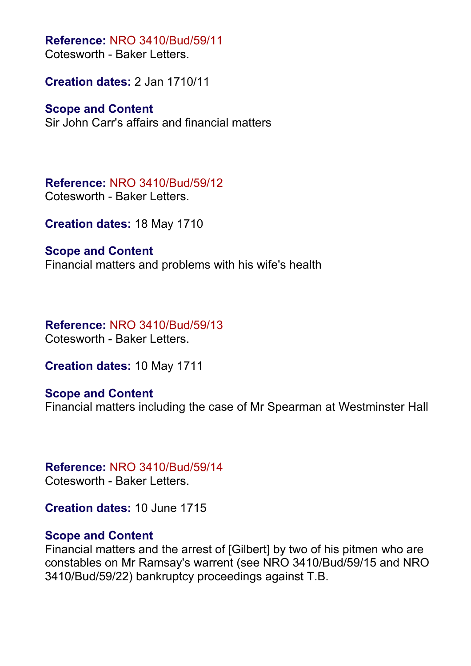Cotesworth - Baker Letters.

**Creation dates:** 2 Jan 1710/11

### **Scope and Content**

Sir John Carr's affairs and financial matters

**Reference:** NRO 3410/Bud/59/12 Cotesworth - Baker Letters.

**Creation dates:** 18 May 1710

#### **Scope and Content**

Financial matters and problems with his wife's health

**Reference:** NRO 3410/Bud/59/13 Cotesworth - Baker Letters.

**Creation dates:** 10 May 1711

### **Scope and Content**

Financial matters including the case of Mr Spearman at Westminster Hall

### **Reference:** NRO 3410/Bud/59/14

Cotesworth - Baker Letters.

**Creation dates:** 10 June 1715

#### **Scope and Content**

Financial matters and the arrest of [Gilbert] by two of his pitmen who are constables on Mr Ramsay's warrent (see NRO 3410/Bud/59/15 and NRO 3410/Bud/59/22) bankruptcy proceedings against T.B.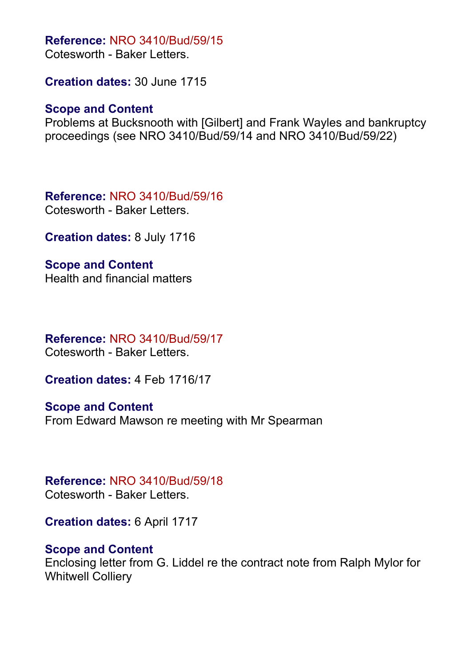Cotesworth - Baker Letters.

**Creation dates:** 30 June 1715

### **Scope and Content**

Problems at Bucksnooth with [Gilbert] and Frank Wayles and bankruptcy proceedings (see NRO 3410/Bud/59/14 and NRO 3410/Bud/59/22)

**Reference:** NRO 3410/Bud/59/16 Cotesworth - Baker Letters.

**Creation dates:** 8 July 1716

**Scope and Content** Health and financial matters

### **Reference:** NRO 3410/Bud/59/17

Cotesworth - Baker Letters.

**Creation dates:** 4 Feb 1716/17

**Scope and Content** From Edward Mawson re meeting with Mr Spearman

### **Reference:** NRO 3410/Bud/59/18

Cotesworth - Baker Letters.

**Creation dates:** 6 April 1717

### **Scope and Content**

Enclosing letter from G. Liddel re the contract note from Ralph Mylor for Whitwell Colliery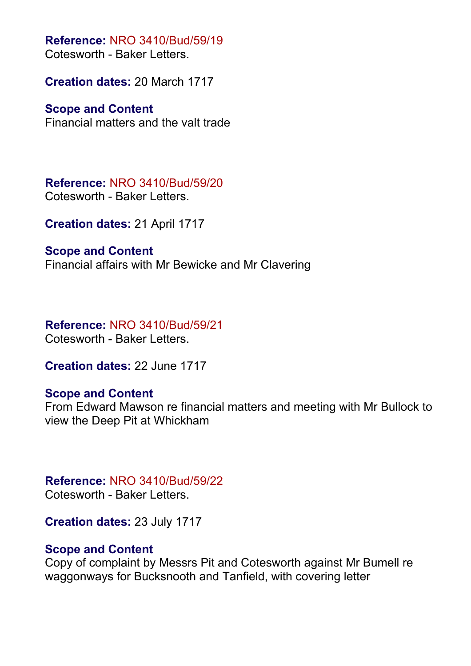**Reference:** NRO 3410/Bud/59/19 Cotesworth - Baker Letters.

**Creation dates:** 20 March 1717

### **Scope and Content**

Financial matters and the valt trade

**Reference:** NRO 3410/Bud/59/20 Cotesworth - Baker Letters.

**Creation dates:** 21 April 1717

**Scope and Content** Financial affairs with Mr Bewicke and Mr Clavering

**Reference:** NRO 3410/Bud/59/21 Cotesworth - Baker Letters.

**Creation dates:** 22 June 1717

### **Scope and Content**

From Edward Mawson re financial matters and meeting with Mr Bullock to view the Deep Pit at Whickham

**Reference:** NRO 3410/Bud/59/22 Cotesworth - Baker Letters.

**Creation dates:** 23 July 1717

### **Scope and Content**

Copy of complaint by Messrs Pit and Cotesworth against Mr Bumell re waggonways for Bucksnooth and Tanfield, with covering letter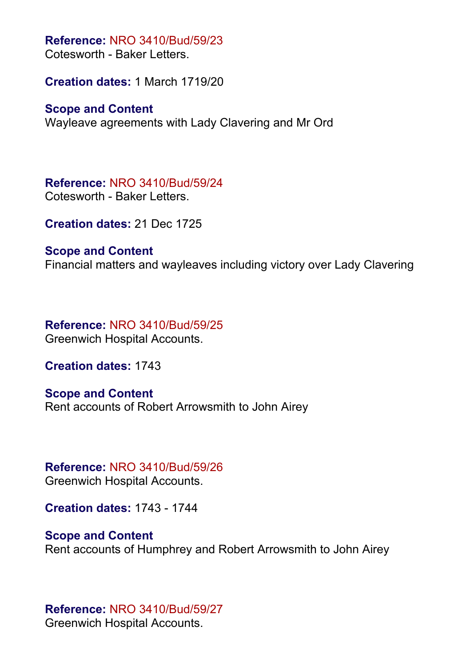Cotesworth - Baker Letters.

**Creation dates:** 1 March 1719/20

#### **Scope and Content**

Wayleave agreements with Lady Clavering and Mr Ord

**Reference:** NRO 3410/Bud/59/24 Cotesworth - Baker Letters.

**Creation dates:** 21 Dec 1725

#### **Scope and Content**

Financial matters and wayleaves including victory over Lady Clavering

**Reference:** NRO 3410/Bud/59/25 Greenwich Hospital Accounts.

**Creation dates:** 1743

**Scope and Content** Rent accounts of Robert Arrowsmith to John Airey

## **Reference:** NRO 3410/Bud/59/26

Greenwich Hospital Accounts.

**Creation dates:** 1743 - 1744

### **Scope and Content**

Rent accounts of Humphrey and Robert Arrowsmith to John Airey

### **Reference:** NRO 3410/Bud/59/27

Greenwich Hospital Accounts.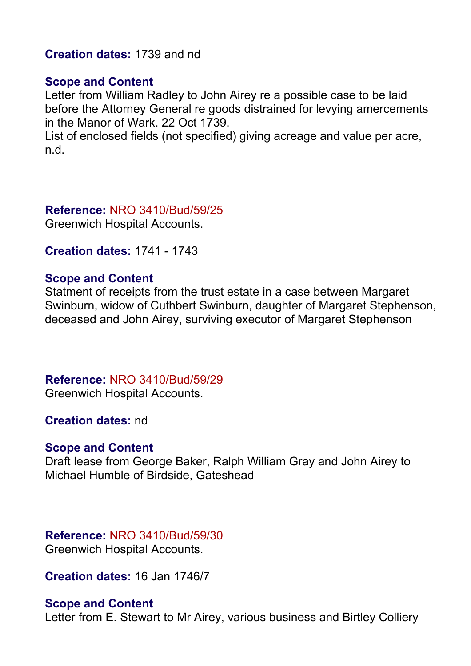**Creation dates:** 1739 and nd

#### **Scope and Content**

Letter from William Radley to John Airey re a possible case to be laid before the Attorney General re goods distrained for levying amercements in the Manor of Wark. 22 Oct 1739.

List of enclosed fields (not specified) giving acreage and value per acre, n.d.

**Reference:** NRO 3410/Bud/59/25

Greenwich Hospital Accounts.

**Creation dates:** 1741 - 1743

#### **Scope and Content**

Statment of receipts from the trust estate in a case between Margaret Swinburn, widow of Cuthbert Swinburn, daughter of Margaret Stephenson, deceased and John Airey, surviving executor of Margaret Stephenson

### **Reference:** NRO 3410/Bud/59/29

Greenwich Hospital Accounts.

**Creation dates:** nd

#### **Scope and Content**

Draft lease from George Baker, Ralph William Gray and John Airey to Michael Humble of Birdside, Gateshead

#### **Reference:** NRO 3410/Bud/59/30

Greenwich Hospital Accounts.

**Creation dates:** 16 Jan 1746/7

#### **Scope and Content**

Letter from E. Stewart to Mr Airey, various business and Birtley Colliery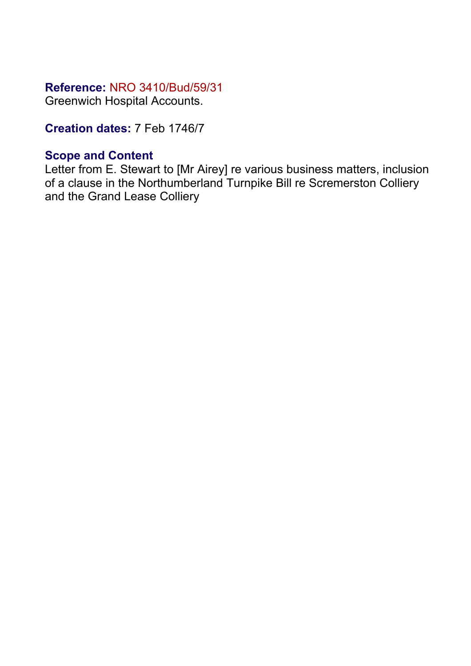Greenwich Hospital Accounts.

**Creation dates:** 7 Feb 1746/7

### **Scope and Content**

Letter from E. Stewart to [Mr Airey] re various business matters, inclusion of a clause in the Northumberland Turnpike Bill re Scremerston Colliery and the Grand Lease Colliery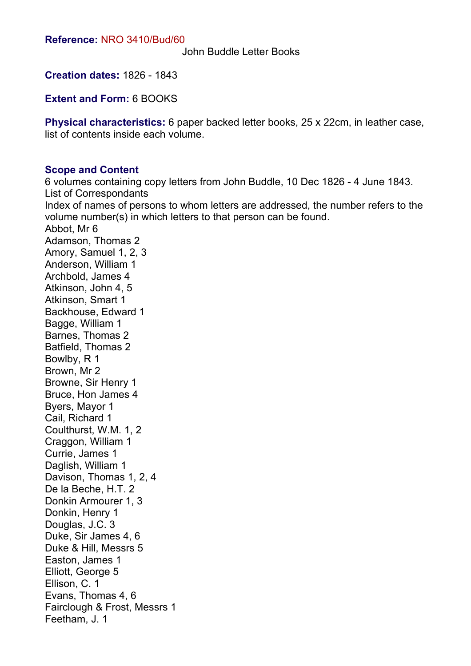John Buddle Letter Books

**Creation dates:** 1826 - 1843

**Extent and Form:** 6 BOOKS

**Physical characteristics:** 6 paper backed letter books, 25 x 22cm, in leather case, list of contents inside each volume.

#### **Scope and Content**

Feetham, J. 1

6 volumes containing copy letters from John Buddle, 10 Dec 1826 - 4 June 1843. List of Correspondants Index of names of persons to whom letters are addressed, the number refers to the volume number(s) in which letters to that person can be found. Abbot, Mr 6 Adamson, Thomas 2 Amory, Samuel 1, 2, 3 Anderson, William 1 Archbold, James 4 Atkinson, John 4, 5 Atkinson, Smart 1 Backhouse, Edward 1 Bagge, William 1 Barnes, Thomas 2 Batfield, Thomas 2 Bowlby, R 1 Brown, Mr 2 Browne, Sir Henry 1 Bruce, Hon James 4 Byers, Mayor 1 Cail, Richard 1 Coulthurst, W.M. 1, 2 Craggon, William 1 Currie, James 1 Daglish, William 1 Davison, Thomas 1, 2, 4 De la Beche, H.T. 2 Donkin Armourer 1, 3 Donkin, Henry 1 Douglas, J.C. 3 Duke, Sir James 4, 6 Duke & Hill, Messrs 5 Easton, James 1 Elliott, George 5 Ellison, C. 1 Evans, Thomas 4, 6 Fairclough & Frost, Messrs 1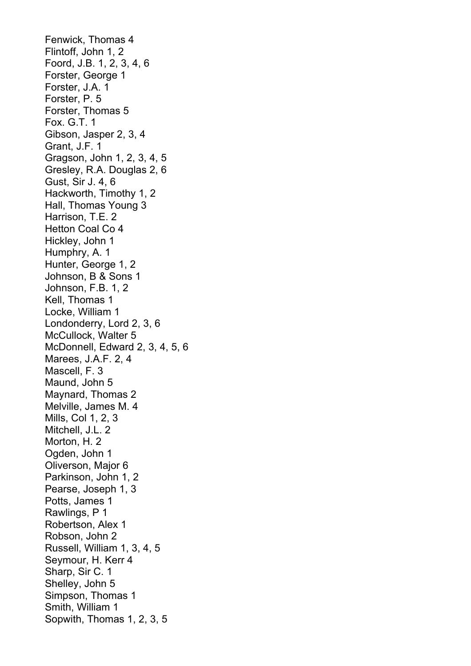Fenwick, Thomas 4 Flintoff, John 1, 2 Foord, J.B. 1, 2, 3, 4, 6 Forster, George 1 Forster, J.A. 1 Forster, P. 5 Forster, Thomas 5 Fox. G.T. 1 Gibson, Jasper 2, 3, 4 Grant, J.F. 1 Gragson, John 1, 2, 3, 4, 5 Gresley, R.A. Douglas 2, 6 Gust, Sir J. 4, 6 Hackworth, Timothy 1, 2 Hall, Thomas Young 3 Harrison, T.E. 2 Hetton Coal Co 4 Hickley, John 1 Humphry, A. 1 Hunter, George 1, 2 Johnson, B & Sons 1 Johnson, F.B. 1, 2 Kell, Thomas 1 Locke, William 1 Londonderry, Lord 2, 3, 6 McCullock, Walter 5 McDonnell, Edward 2, 3, 4, 5, 6 Marees, J.A.F. 2, 4 Mascell, F. 3 Maund, John 5 Maynard, Thomas 2 Melville, James M. 4 Mills, Col 1, 2, 3 Mitchell, J.L. 2 Morton, H. 2 Ogden, John 1 Oliverson, Major 6 Parkinson, John 1, 2 Pearse, Joseph 1, 3 Potts, James 1 Rawlings, P 1 Robertson, Alex 1 Robson, John 2 Russell, William 1, 3, 4, 5 Seymour, H. Kerr 4 Sharp, Sir C. 1 Shelley, John 5 Simpson, Thomas 1 Smith, William 1 Sopwith, Thomas 1, 2, 3, 5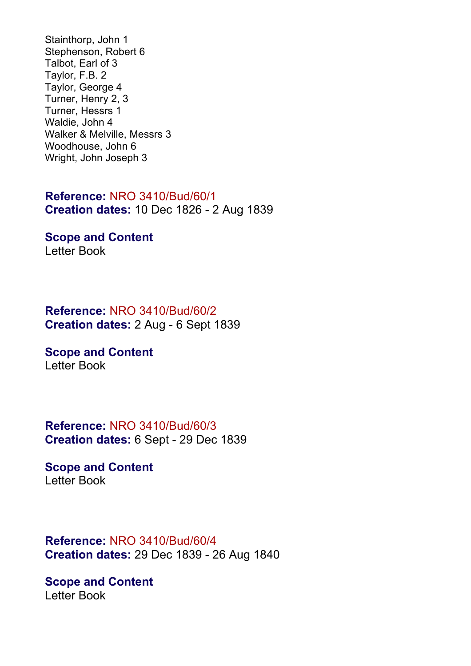Stainthorp, John 1 Stephenson, Robert 6 Talbot, Earl of 3 Taylor, F.B. 2 Taylor, George 4 Turner, Henry 2, 3 Turner, Hessrs 1 Waldie, John 4 Walker & Melville, Messrs 3 Woodhouse, John 6 Wright, John Joseph 3

### **Reference:** NRO 3410/Bud/60/1 **Creation dates:** 10 Dec 1826 - 2 Aug 1839

**Scope and Content** Letter Book

### **Reference:** NRO 3410/Bud/60/2 **Creation dates:** 2 Aug - 6 Sept 1839

**Scope and Content** Letter Book

**Reference:** NRO 3410/Bud/60/3 **Creation dates:** 6 Sept - 29 Dec 1839

**Scope and Content** Letter Book

**Reference:** NRO 3410/Bud/60/4 **Creation dates:** 29 Dec 1839 - 26 Aug 1840

**Scope and Content** Letter Book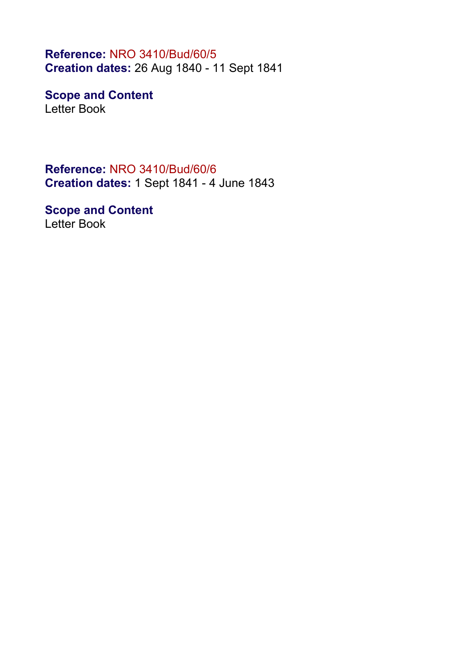**Reference:** NRO 3410/Bud/60/5 **Creation dates:** 26 Aug 1840 - 11 Sept 1841

**Scope and Content** Letter Book

**Reference:** NRO 3410/Bud/60/6 **Creation dates:** 1 Sept 1841 - 4 June 1843

**Scope and Content** Letter Book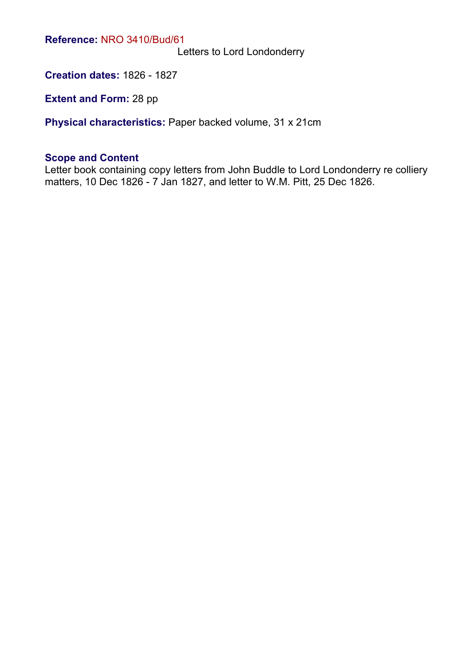Letters to Lord Londonderry

**Creation dates:** 1826 - 1827

**Extent and Form: 28 pp** 

**Physical characteristics:** Paper backed volume, 31 x 21cm

#### **Scope and Content**

Letter book containing copy letters from John Buddle to Lord Londonderry re colliery matters, 10 Dec 1826 - 7 Jan 1827, and letter to W.M. Pitt, 25 Dec 1826.